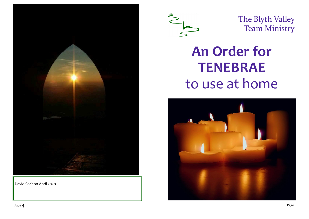

David Sochon April 2020



The Blyth Valley Team Ministry

# **An Order for TENEBRAE** to use at home